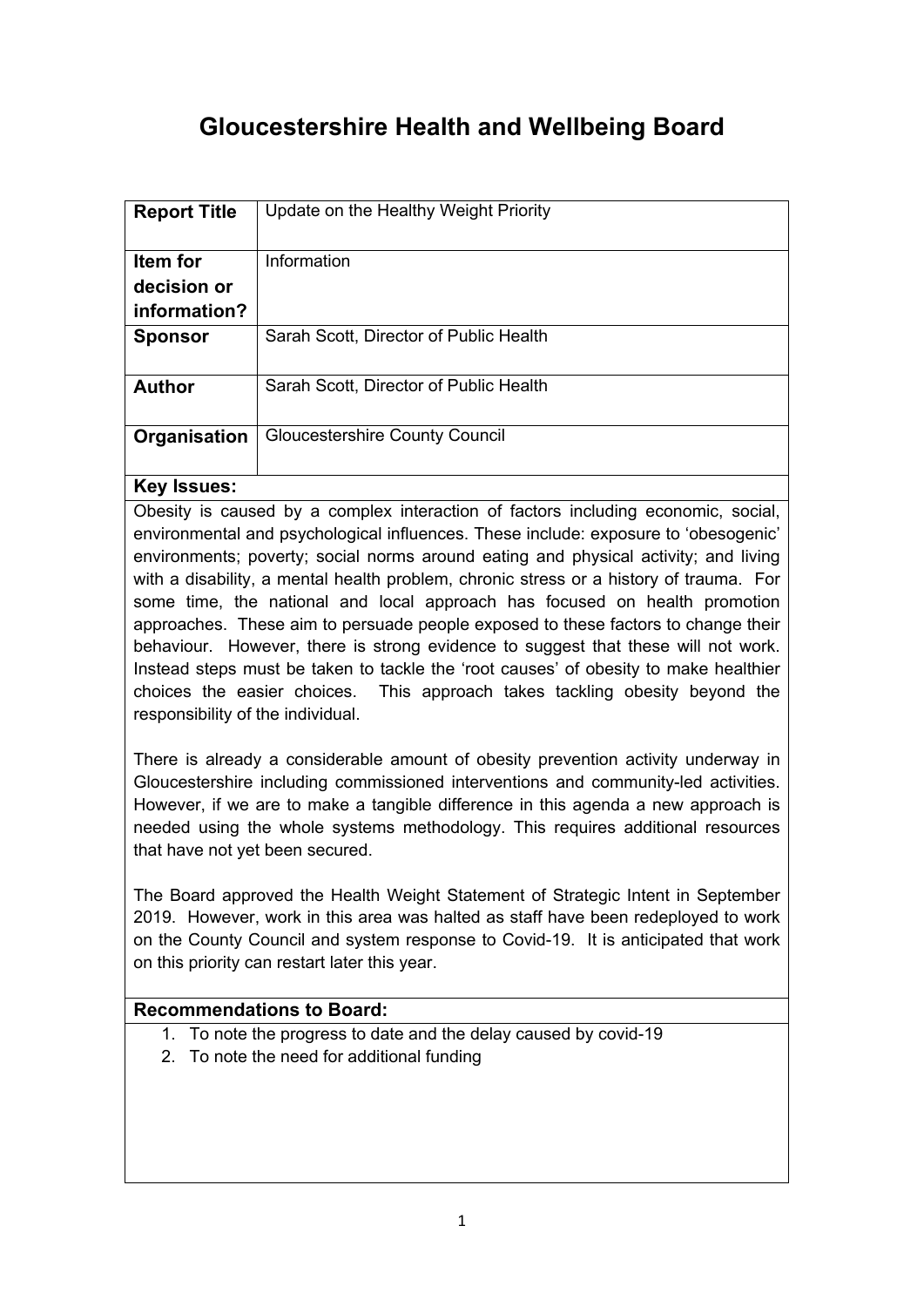## **Gloucestershire Health and Wellbeing Board**

| <b>Report Title</b> | Update on the Healthy Weight Priority  |
|---------------------|----------------------------------------|
| Item for            | Information                            |
| decision or         |                                        |
| information?        |                                        |
| <b>Sponsor</b>      | Sarah Scott, Director of Public Health |
| <b>Author</b>       | Sarah Scott, Director of Public Health |
| Organisation        | <b>Gloucestershire County Council</b>  |

## **Key Issues:**

Obesity is caused by a complex interaction of factors including economic, social, environmental and psychological influences. These include: exposure to 'obesogenic' environments; poverty; social norms around eating and physical activity; and living with a disability, a mental health problem, chronic stress or a history of trauma. For some time, the national and local approach has focused on health promotion approaches. These aim to persuade people exposed to these factors to change their behaviour. However, there is strong evidence to suggest that these will not work. Instead steps must be taken to tackle the 'root causes' of obesity to make healthier choices the easier choices. This approach takes tackling obesity beyond the responsibility of the individual.

There is already a considerable amount of obesity prevention activity underway in Gloucestershire including commissioned interventions and community-led activities. However, if we are to make a tangible difference in this agenda a new approach is needed using the whole systems methodology. This requires additional resources that have not yet been secured.

The Board approved the Health Weight Statement of Strategic Intent in September 2019. However, work in this area was halted as staff have been redeployed to work on the County Council and system response to Covid-19. It is anticipated that work on this priority can restart later this year.

## **Recommendations to Board:**

- 1. To note the progress to date and the delay caused by covid-19
- 2. To note the need for additional funding